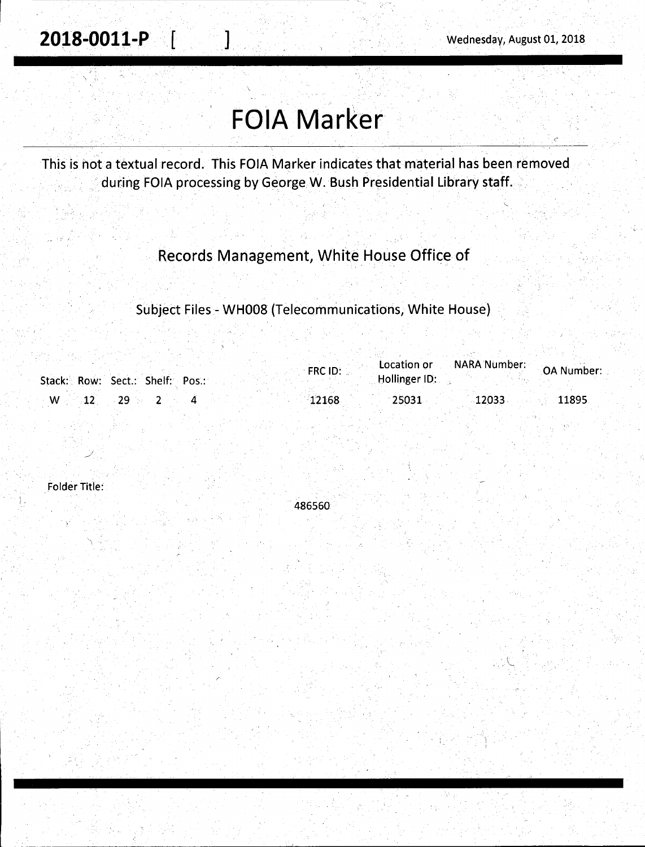# **FOIA Marker**

 $\mathbf{I}$ 

This is not a textual record. This FOIA Marker indicates that material has been removed during FOIA processing by George W. Bush Presidential Library staff.

## Records Management, White House Office of

Subject Files - WH008 (Telecommunications, White House)

|   | Stack: Row: Sect.: Shelf: Pos.: | FRC ID: | Location or<br>Hollinger ID: | NARA Number: | OA Number: |
|---|---------------------------------|---------|------------------------------|--------------|------------|
| W |                                 | 12168   | 25031                        | 12033        | 11895      |

**Folder Title:** 

486560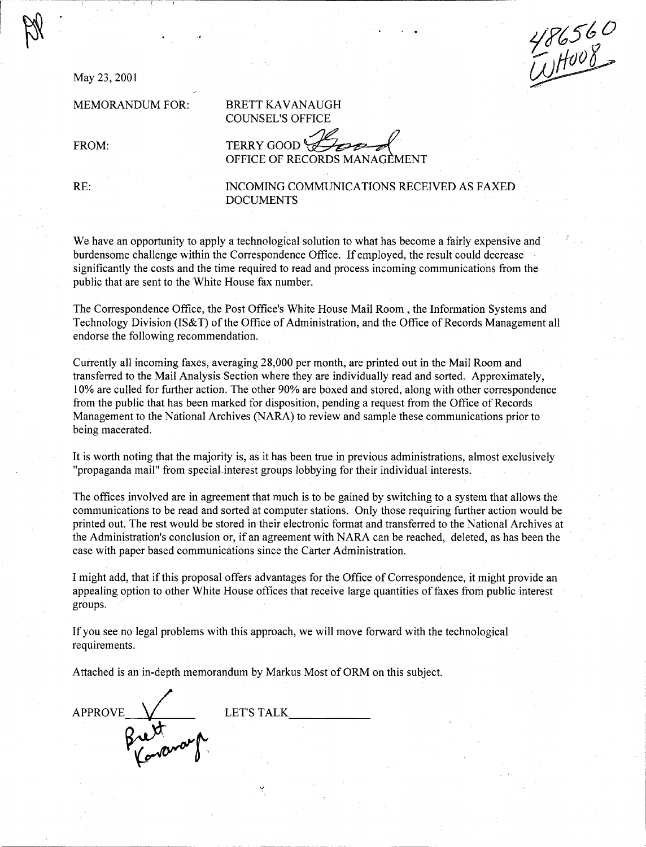May 23, 2001

MEMORANDUM FOR:

486560

BRETT KAVANAUGH COUNSEL'S OFFICE

FROM:

TERRY GOOD<sup>®</sup> OFFICE OF RECORDS MANAGEMENT

RE:

INCOMING COMMUNICATIONS RECEIVED AS FAXED DOCUMENTS

We have an opportunity to apply a technological solution to what has become a fairly expensive and burdensome challenge within the Correspondence Office. If employed, the result could decrease significantly the costs and the time required to read and process incoming communications from the public that are sent to the White House fax number.

The Correspondence Office, the Post Office's White House Mail Room , the Information Systems and Technology Division (IS&T) of the Office of Administration, and the Office of Records Management all endorse the following recommendation.

Currently all incoming faxes, averaging 28,000 per month, are printed out in the Mail Room and transferred to the Mail Analysis Section where they are individually read and sorted. Approximately, 10% are culled for further action. The other 90% are boxed and stored, along with other correspondence from the public that has been marked for disposition, pending a request from the Office of Records Management to the National Archives (NARA) to review and sample these communications prior to being macerated.

It is worth noting that the majority is, as it has been true in previous administrations, almost exclusively "propaganda mail" from speciaLinterest groups lobbying for their individual interests.

The offices involved are in agreement that much is to be gained by switching to a system that allows the communications to be read and sorted at computer stations. Only those requiring further action would be printed out. The rest would be stored in their electronic format and transferred to the National Archives at the Administration's conclusion or, if an agreement with NARA can be reached, deleted, as has been the case with paper based communications since the Carter Administration.

I might add, that if this proposal offers advantages for the Office of Correspondence, it might provide an appealing option to other White House offices that receive large quantities of faxes from public interest groups.

If you see no legal problems with this approach, we will move forward with the technological requirements.

Attached is an in-depth memorandum by Markus Most of ORM on this subject.

*ti* 

APPROVE <u>L</u> Karanauf LET'S TALK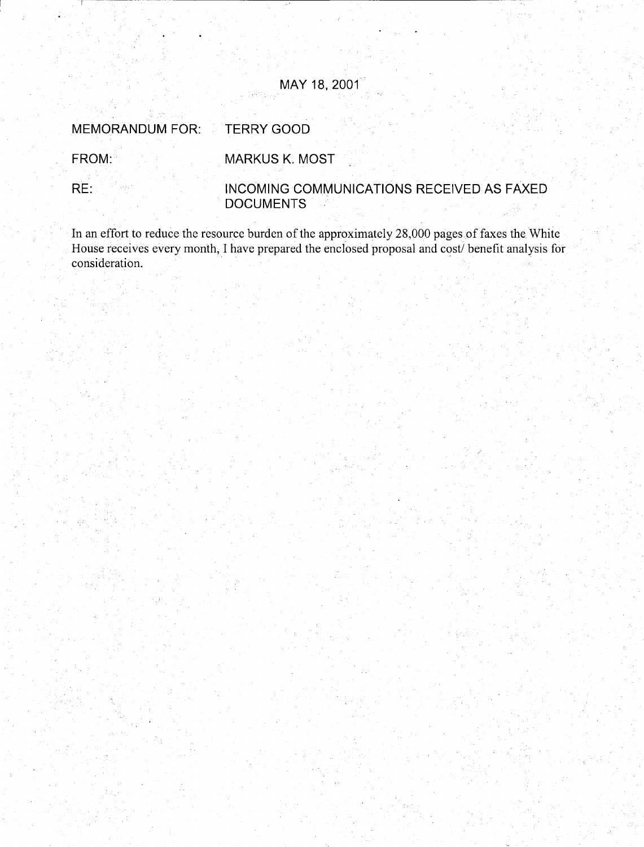### MAY 18, 2001

**TERRY GOOD MEMORANDUM FOR:** 

FROM: MARKUS K. MOST

INCOMING COMMUNICATIONS RECEIVED AS FAXED  $RE:$ **DOCUMENTS** 

In an effort to reduce the resource burden of the approximately 28,000 pages of faxes the White House receives every month, I have prepared the enclosed proposal and cost/ benefit analysis for consideration.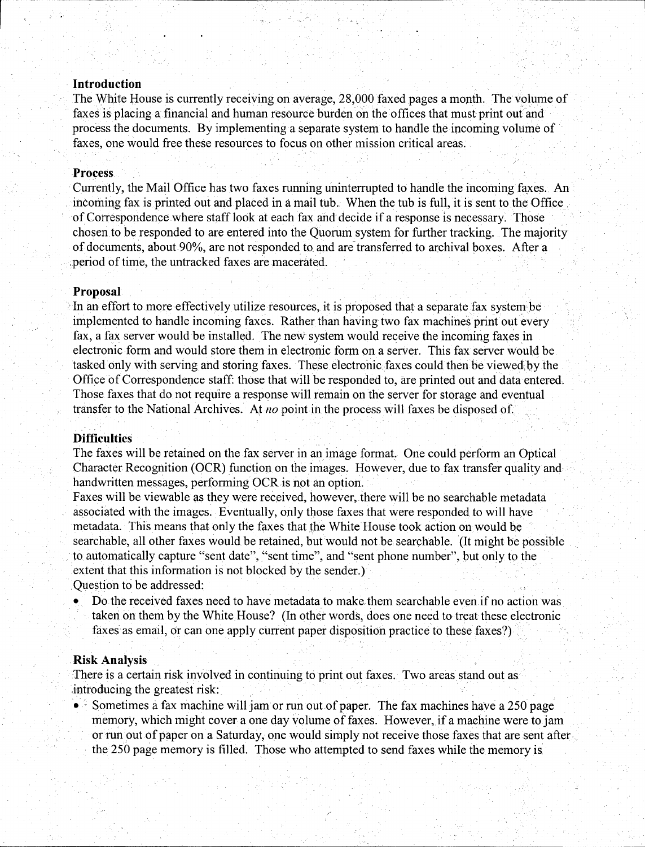#### · **Introduction**

,--.\_--,

The White House is currently receiving on average, 28,000 faxed pages a month. The volume of faxes is placing a financial and human resource burden on the offices that must print out and process the documents. By implementing a separate system to handle the incoming volume of faxes, one would free these resources to focus on other mission critical areas.

#### **Process** .

Currently, the Mail Office has two faxes running uninterrupted to handle the incoming faxes. An incoming fax is printed out and placed in a mail tub. When the tub is full, it is sent to the Office. of Correspondence where staff look at each fax and decide if a response is necessary. Those chosen to be responded to are entered into the Quorum system for further tracking. The majority of documents, about 90%, are not responded to and are transferred to archival boxes. After a period of time, the untracked faxes are macerated.

#### **Proposal**

In an effort to more effectively utilize resources, it is proposed that a separate fax system be implemented to handle incoming faxes. Rather than having two fax machines print out every fax, a fax server would be installed. The new system would receive the incoming faxes in electronic form and would store them in electronic form on a server. This fax server would be tasked only with serving and storing faxes. These electronic faxes could then be viewed by the Office of Correspondence staff: those that will be responded to, are printed out and data entered. Those faxes that do not require a response will remain on the server for storage and eventual transfer to the National Archives. At *no* point in the process will faxes be disposed of.

#### **Difficulties**

The faxes will be retained on the fax server in an image format. One could perform an Optical Character Recognition (OCR) function on the images. However, due to fax transfer quality and handwritten messages, performing OCR is not an option.

Faxes will be viewable as they were received, however, there will be no searchable metadata associated with the images. Eventually, only those faxes that were responded to will have metadata. This means that only the faxes that the White House took action on would be searchable, all other faxes would be retained, but would not be searchable. (It might be possible to automatically capture "sent date", "sent time", and "sent phone number", but only to the extent that this information is not blocked by the sender.) Ouestion to be addressed:

• Do the received faxes need to have metadata to make them searchable even.if no action was taken on them by the White House? (In other words, does one need to treat these electronic

faxes as email, or can one apply current paper disposition practice to these faxes?)

#### . **Risk Analysis**

There is a certain risk involved in continuing to print out faxes. Two areas stand out as introducing the greatest risk:

• Sometimes a fax machine will jam or run out of paper. The fax machines have a 250 page memory, which might cover a one day volume of faxes. However, if a machine were to jam or run out of paper on a Saturday, one would simply not receive those faxes that are sent after the 250 page memory is filled. Those who attempted to send faxes while the memory is.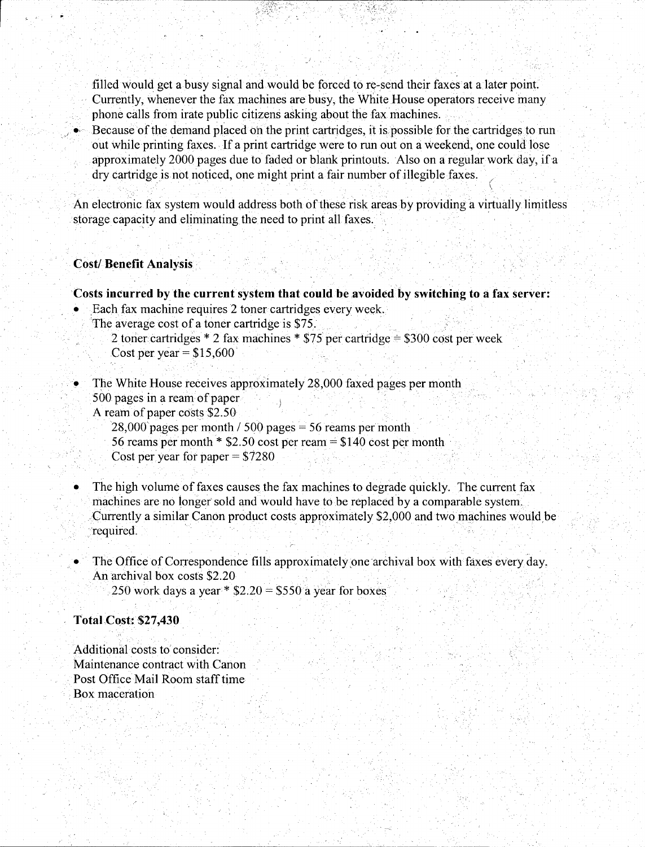filled would get a busy signal and would be forced to re-send their faxes at a later point. Currently, whenever the fax machines are busy, the white House operators receive many phone calls from irate public citizens asking about the fax machines.

Because of the demand placed on the print cartridges, it is possible for the cartridges to run out while printing faxes. If a print cartridge were to run out on a weekend, one could lose approximately 2000 pages due to faded or blank printouts. Also on a regular work day, if a dry cartridge is not noticed, one might print a fair number of illegible faxes.

An electronic fax system would address both of these risk areas by providing a virtually limitless storage capacity and eliminating the need to print all faxes.

. . . . . . ~ .

#### ·. **Cost/Benefit Analysis** •

,----,- ----

#### **Costs incurred by the current system that could be avoided by switching to a fax server:**

- Each fax machine requires 2 toner cartridges every week.
	- The average cost of a toner cartridge is \$75.

2 toner cartridges \* 2 fax machines \*  $$75$  per cartridge =  $$300$  cost per week Cost per year =  $$15,600$ 

- The White House receives approximately 28,000 faxed pages per month  $500$  pages in a ream of paper
	- A ream of paper costs \$2.50
		- $28,000$  pages per month / 500 pages = 56 reams per month
		- 56 reams per month  $*$  \$2.50 cost per ream = \$140 cost per month
		- Cost per year for paper  $= $7280$
- The high volume of faxes causes the fax machines to degrade quickly. The current fax machines are no longer sold and would have to be replaced by a comparable system .. Currently a similar Canon product costs approximately \$2,000 and two machines would be ·'required. · . . . · . . ,
- The Office of Correspondence fills approximately one archival box with faxes every day. An archival box costs \$2.20 250 work days a year \*  $$2.20 = $550$  a year for boxes

#### **Total,CQst:\$27,430**

Additional costs to consider: Maintenance contract with Canon Post Office Mail Room staff time Box maceration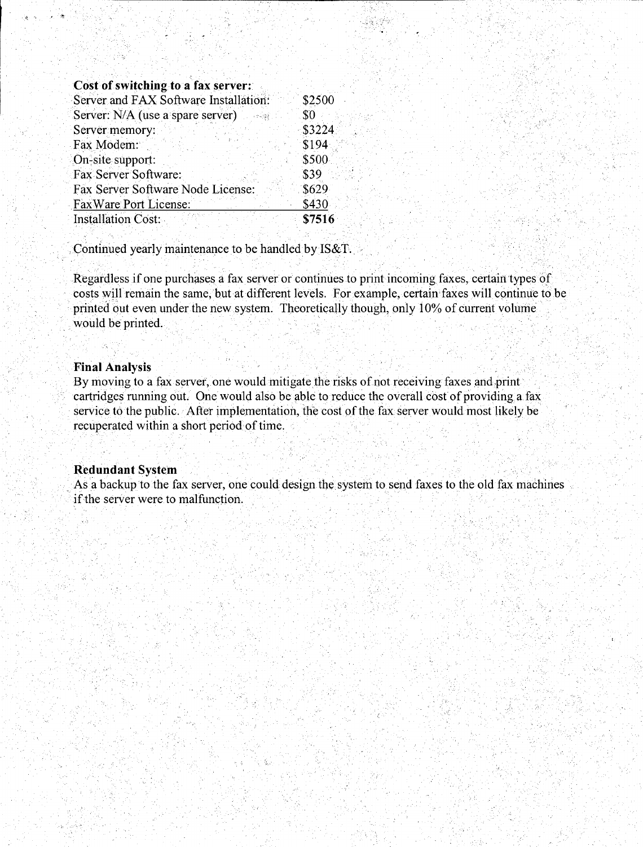#### Cost of switching to a fax server:

| Server and FAX Software Installation: | \$2500 |
|---------------------------------------|--------|
| Server: N/A (use a spare server)      | \$0    |
| Server memory:                        | \$3224 |
| Fax Modem:                            | \$194  |
| On-site support:                      | \$500  |
| Fax Server Software:                  | \$39   |
| Fax Server Software Node License:     | \$629  |
| <b>FaxWare Port License:</b>          | \$430  |
| Installation Cost:                    | \$7516 |

Continued yearly maintenance to be handled by IS&T.

Regardless if one purchases a fax server or continues to print incoming faxes, certain types of costs will remain the same, but at different levels. For example, certain faxes will continue to be printed out even under the new system. Theoretically though, only 10% of current volume would be printed.

#### **Final Analysis**

By moving to a fax server, one would mitigate the risks of not receiving faxes and print cartridges running out. One would also be able to reduce the overall cost of providing a fax service to the public. After implementation, the cost of the fax server would most likely be recuperated within a short period of time.

#### **Redundant System**

As a backup to the fax server, one could design the system to send faxes to the old fax machines if the server were to malfunction.